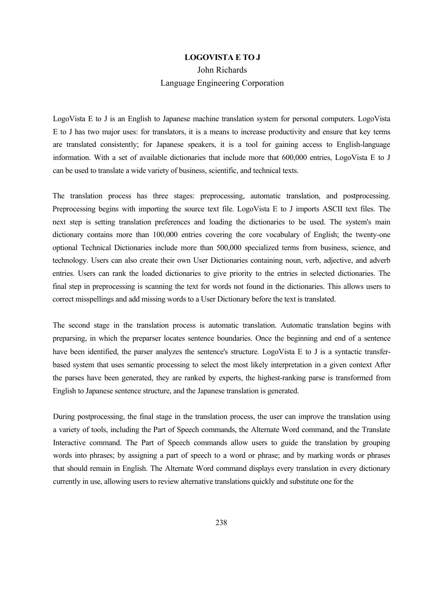## **LOGOVISTA E TO J**

## John Richards Language Engineering Corporation

LogoVista E to J is an English to Japanese machine translation system for personal computers. LogoVista E to J has two major uses: for translators, it is a means to increase productivity and ensure that key terms are translated consistently; for Japanese speakers, it is a tool for gaining access to English-language information. With a set of available dictionaries that include more that 600,000 entries, LogoVista E to J can be used to translate a wide variety of business, scientific, and technical texts.

The translation process has three stages: preprocessing, automatic translation, and postprocessing. Preprocessing begins with importing the source text file. LogoVista E to J imports ASCII text files. The next step is setting translation preferences and loading the dictionaries to be used. The system's main dictionary contains more than 100,000 entries covering the core vocabulary of English; the twenty-one optional Technical Dictionaries include more than 500,000 specialized terms from business, science, and technology. Users can also create their own User Dictionaries containing noun, verb, adjective, and adverb entries. Users can rank the loaded dictionaries to give priority to the entries in selected dictionaries. The final step in preprocessing is scanning the text for words not found in the dictionaries. This allows users to correct misspellings and add missing words to a User Dictionary before the text is translated.

The second stage in the translation process is automatic translation. Automatic translation begins with preparsing, in which the preparser locates sentence boundaries. Once the beginning and end of a sentence have been identified, the parser analyzes the sentence's structure. LogoVista E to J is a syntactic transferbased system that uses semantic processing to select the most likely interpretation in a given context After the parses have been generated, they are ranked by experts, the highest-ranking parse is transformed from English to Japanese sentence structure, and the Japanese translation is generated.

During postprocessing, the final stage in the translation process, the user can improve the translation using a variety of tools, including the Part of Speech commands, the Alternate Word command, and the Translate Interactive command. The Part of Speech commands allow users to guide the translation by grouping words into phrases; by assigning a part of speech to a word or phrase; and by marking words or phrases that should remain in English. The Alternate Word command displays every translation in every dictionary currently in use, allowing users to review alternative translations quickly and substitute one for the